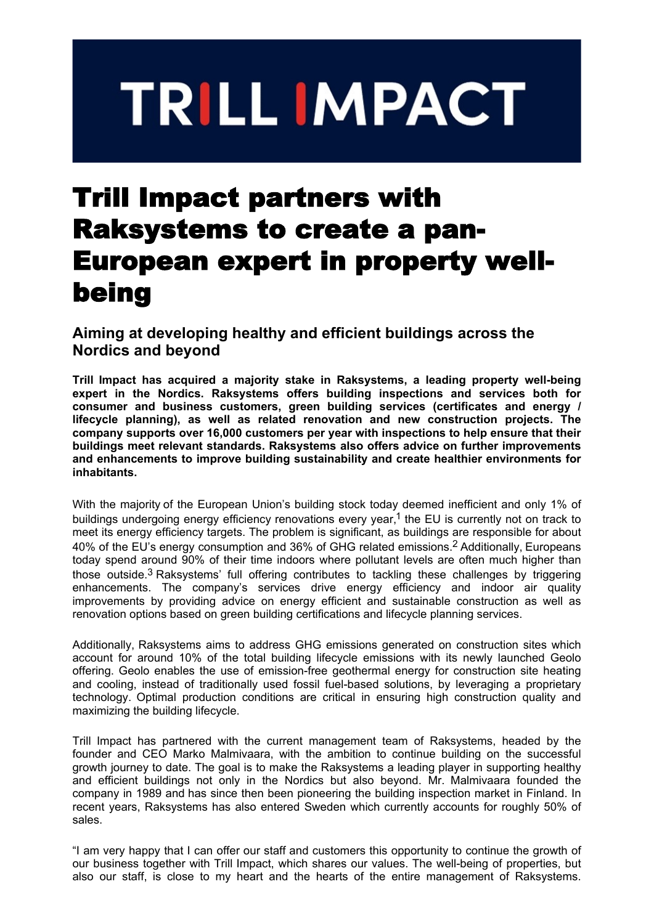# **TRILL IMPACT**

## Trill Impact partners with Raksystems to create a pan-European expert in property wellbeing

### **Aiming at developing healthy and efficient buildings across the Nordics and beyond**

**Trill Impact has acquired a majority stake in Raksystems, a leading property well-being expert in the Nordics. Raksystems offers building inspections and services both for consumer and business customers, green building services (certificates and energy / lifecycle planning), as well as related renovation and new construction projects. The company supports over 16,000 customers per year with inspections to help ensure that their buildings meet relevant standards. Raksystems also offers advice on further improvements and enhancements to improve building sustainability and create healthier environments for inhabitants.**

With the majority of the European Union's building stock today deemed inefficient and only 1% of buildings undergoing energy efficiency renovations every year,<sup>1</sup> the EU is currently not on track to meet its energy efficiency targets. The problem is significant, as buildings are responsible for about 40% of the EU's energy consumption and 36% of GHG related emissions.2 Additionally, Europeans today spend around 90% of their time indoors where pollutant levels are often much higher than those outside.3 Raksystems' full offering contributes to tackling these challenges by triggering enhancements. The company's services drive energy efficiency and indoor air quality improvements by providing advice on energy efficient and sustainable construction as well as renovation options based on green building certifications and lifecycle planning services.

Additionally, Raksystems aims to address GHG emissions generated on construction sites which account for around 10% of the total building lifecycle emissions with its newly launched Geolo offering. Geolo enables the use of emission-free geothermal energy for construction site heating and cooling, instead of traditionally used fossil fuel-based solutions, by leveraging a proprietary technology. Optimal production conditions are critical in ensuring high construction quality and maximizing the building lifecycle.

Trill Impact has partnered with the current management team of Raksystems, headed by the founder and CEO Marko Malmivaara, with the ambition to continue building on the successful growth journey to date. The goal is to make the Raksystems a leading player in supporting healthy and efficient buildings not only in the Nordics but also beyond. Mr. Malmivaara founded the company in 1989 and has since then been pioneering the building inspection market in Finland. In recent years, Raksystems has also entered Sweden which currently accounts for roughly 50% of sales.

"I am very happy that I can offer our staff and customers this opportunity to continue the growth of our business together with Trill Impact, which shares our values. The well-being of properties, but also our staff, is close to my heart and the hearts of the entire management of Raksystems.